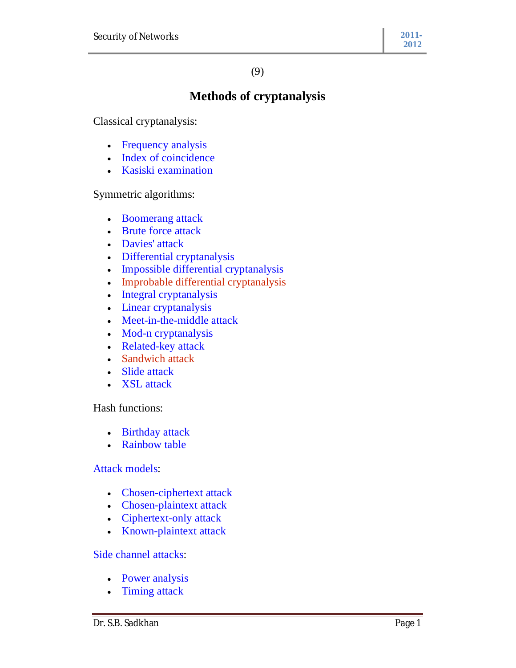### (9)

## **Methods of cryptanalysis**

Classical cryptanalysis:

- Frequency analysis
- Index of coincidence
- Kasiski examination

Symmetric algorithms:

- Boomerang attack
- Brute force attack
- Davies' attack
- Differential cryptanalysis
- Impossible differential cryptanalysis
- Improbable differential cryptanalysis
- Integral cryptanalysis
- Linear cryptanalysis
- Meet-in-the-middle attack
- Mod-n cryptanalysis
- Related-key attack
- Sandwich attack
- Slide attack
- XSL attack

Hash functions:

- Birthday attack
- Rainbow table

#### Attack models:

- Chosen-ciphertext attack
- Chosen-plaintext attack
- Ciphertext-only attack
- Known-plaintext attack

Side channel attacks:

- Power analysis
- Timing attack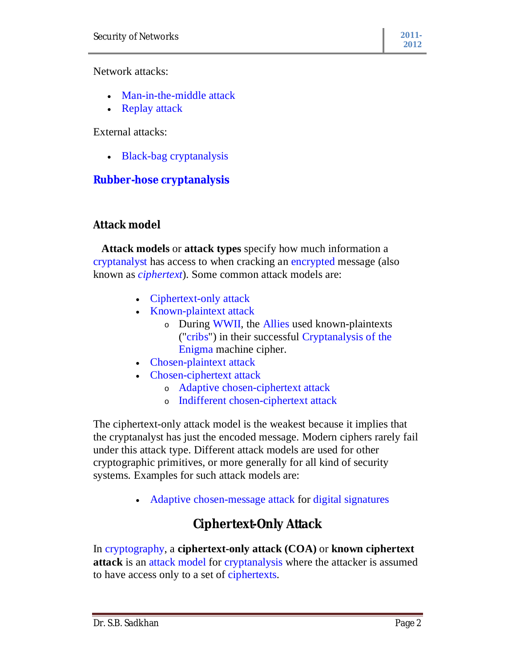Network attacks:

- Man-in-the-middle attack
- Replay attack

External attacks:

• Black-bag cryptanalysis

## **Rubber-hose cryptanalysis**

### **Attack model**

 **Attack models** or **attack types** specify how much information a cryptanalyst has access to when cracking an encrypted message (also known as *ciphertext*). Some common attack models are:

- Ciphertext-only attack
- Known-plaintext attack
	- o During WWII, the Allies used known-plaintexts ("cribs") in their successful Cryptanalysis of the Enigma machine cipher.
- Chosen-plaintext attack
- Chosen-ciphertext attack
	- o Adaptive chosen-ciphertext attack
	- o Indifferent chosen-ciphertext attack

The ciphertext-only attack model is the weakest because it implies that the cryptanalyst has just the encoded message. Modern ciphers rarely fail under this attack type. Different attack models are used for other cryptographic primitives, or more generally for all kind of security systems. Examples for such attack models are:

• Adaptive chosen-message attack for digital signatures

# **Ciphertext-Only Attack**

In cryptography, a **ciphertext-only attack (COA)** or **known ciphertext attack** is an attack model for cryptanalysis where the attacker is assumed to have access only to a set of ciphertexts.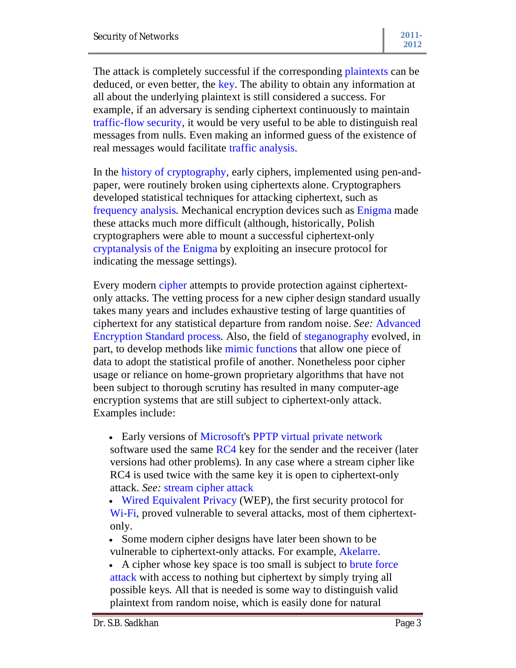The attack is completely successful if the corresponding plaintexts can be deduced, or even better, the key. The ability to obtain any information at all about the underlying plaintext is still considered a success. For example, if an adversary is sending ciphertext continuously to maintain traffic-flow security, it would be very useful to be able to distinguish real messages from nulls. Even making an informed guess of the existence of real messages would facilitate traffic analysis.

In the history of cryptography, early ciphers, implemented using pen-andpaper, were routinely broken using ciphertexts alone. Cryptographers developed statistical techniques for attacking ciphertext, such as frequency analysis. Mechanical encryption devices such as Enigma made these attacks much more difficult (although, historically, Polish cryptographers were able to mount a successful ciphertext-only cryptanalysis of the Enigma by exploiting an insecure protocol for indicating the message settings).

Every modern cipher attempts to provide protection against ciphertextonly attacks. The vetting process for a new cipher design standard usually takes many years and includes exhaustive testing of large quantities of ciphertext for any statistical departure from random noise. *See:* Advanced Encryption Standard process. Also, the field of steganography evolved, in part, to develop methods like mimic functions that allow one piece of data to adopt the statistical profile of another. Nonetheless poor cipher usage or reliance on home-grown proprietary algorithms that have not been subject to thorough scrutiny has resulted in many computer-age encryption systems that are still subject to ciphertext-only attack. Examples include:

• Early versions of Microsoft's PPTP virtual private network software used the same RC4 key for the sender and the receiver (later versions had other problems). In any case where a stream cipher like RC4 is used twice with the same key it is open to ciphertext-only attack. *See:* stream cipher attack

 Wired Equivalent Privacy (WEP), the first security protocol for Wi-Fi, proved vulnerable to several attacks, most of them ciphertextonly.

 Some modern cipher designs have later been shown to be vulnerable to ciphertext-only attacks. For example, Akelarre.

 A cipher whose key space is too small is subject to brute force attack with access to nothing but ciphertext by simply trying all possible keys. All that is needed is some way to distinguish valid plaintext from random noise, which is easily done for natural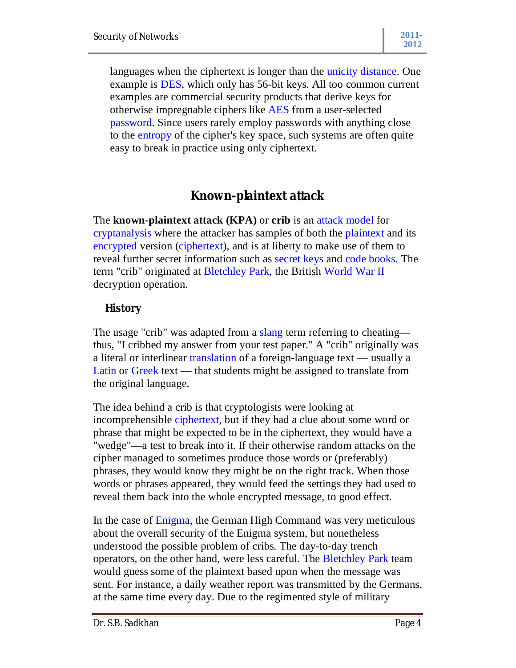languages when the ciphertext is longer than the unicity distance. One example is DES, which only has 56-bit keys. All too common current examples are commercial security products that derive keys for otherwise impregnable ciphers like AES from a user-selected password. Since users rarely employ passwords with anything close to the entropy of the cipher's key space, such systems are often quite easy to break in practice using only ciphertext.

## **Known-plaintext attack**

The **known-plaintext attack (KPA)** or **crib** is an attack model for cryptanalysis where the attacker has samples of both the plaintext and its encrypted version (ciphertext), and is at liberty to make use of them to reveal further secret information such as secret keys and code books. The term "crib" originated at Bletchley Park, the British World War II decryption operation.

### *History*

The usage "crib" was adapted from a slang term referring to cheating thus, "I cribbed my answer from your test paper." A "crib" originally was a literal or interlinear translation of a foreign-language text — usually a Latin or Greek text — that students might be assigned to translate from the original language.

The idea behind a crib is that cryptologists were looking at incomprehensible ciphertext, but if they had a clue about some word or phrase that might be expected to be in the ciphertext, they would have a "wedge"—a test to break into it. If their otherwise random attacks on the cipher managed to sometimes produce those words or (preferably) phrases, they would know they might be on the right track. When those words or phrases appeared, they would feed the settings they had used to reveal them back into the whole encrypted message, to good effect.

In the case of Enigma, the German High Command was very meticulous about the overall security of the Enigma system, but nonetheless understood the possible problem of cribs. The day-to-day trench operators, on the other hand, were less careful. The Bletchley Park team would guess some of the plaintext based upon when the message was sent. For instance, a daily weather report was transmitted by the Germans, at the same time every day. Due to the regimented style of military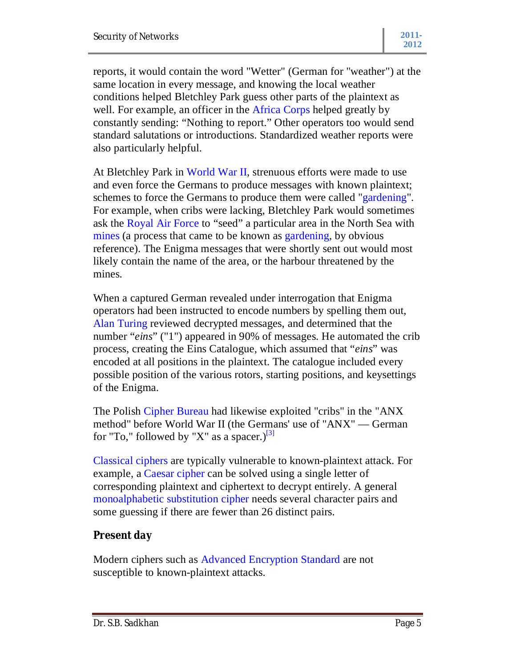reports, it would contain the word "Wetter" (German for "weather") at the same location in every message, and knowing the local weather conditions helped Bletchley Park guess other parts of the plaintext as well. For example, an officer in the Africa Corps helped greatly by constantly sending: "Nothing to report." Other operators too would send standard salutations or introductions. Standardized weather reports were also particularly helpful.

At Bletchley Park in World War II, strenuous efforts were made to use and even force the Germans to produce messages with known plaintext; schemes to force the Germans to produce them were called "gardening". For example, when cribs were lacking, Bletchley Park would sometimes ask the Royal Air Force to "seed" a particular area in the North Sea with mines (a process that came to be known as gardening, by obvious reference). The Enigma messages that were shortly sent out would most likely contain the name of the area, or the harbour threatened by the mines.

When a captured German revealed under interrogation that Enigma operators had been instructed to encode numbers by spelling them out, Alan Turing reviewed decrypted messages, and determined that the number "*eins*" ("1") appeared in 90% of messages. He automated the crib process, creating the Eins Catalogue, which assumed that "*eins*" was encoded at all positions in the plaintext. The catalogue included every possible position of the various rotors, starting positions, and keysettings of the Enigma.

The Polish Cipher Bureau had likewise exploited "cribs" in the "ANX method" before World War II (the Germans' use of "ANX" — German for "To," followed by "X" as a spacer.) $^{[3]}$ 

Classical ciphers are typically vulnerable to known-plaintext attack. For example, a Caesar cipher can be solved using a single letter of corresponding plaintext and ciphertext to decrypt entirely. A general monoalphabetic substitution cipher needs several character pairs and some guessing if there are fewer than 26 distinct pairs.

### *Present day*

Modern ciphers such as Advanced Encryption Standard are not susceptible to known-plaintext attacks.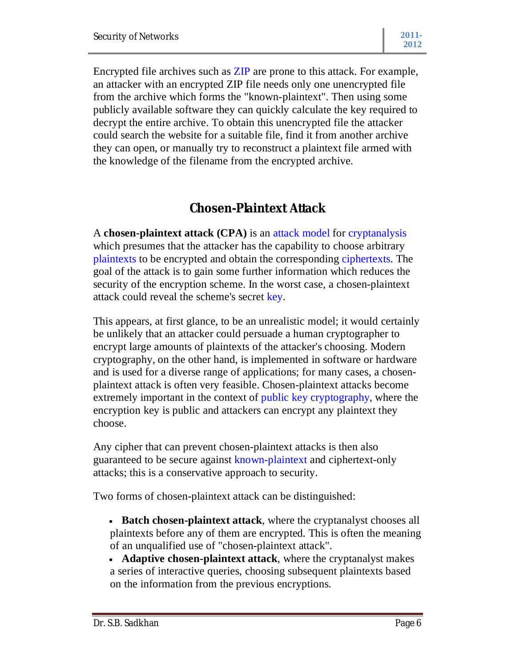Encrypted file archives such as ZIP are prone to this attack. For example, an attacker with an encrypted ZIP file needs only one unencrypted file from the archive which forms the "known-plaintext". Then using some publicly available software they can quickly calculate the key required to decrypt the entire archive. To obtain this unencrypted file the attacker could search the website for a suitable file, find it from another archive they can open, or manually try to reconstruct a plaintext file armed with the knowledge of the filename from the encrypted archive.

## **Chosen-Plaintext Attack**

A **chosen-plaintext attack (CPA)** is an attack model for cryptanalysis which presumes that the attacker has the capability to choose arbitrary plaintexts to be encrypted and obtain the corresponding ciphertexts. The goal of the attack is to gain some further information which reduces the security of the encryption scheme. In the worst case, a chosen-plaintext attack could reveal the scheme's secret key.

This appears, at first glance, to be an unrealistic model; it would certainly be unlikely that an attacker could persuade a human cryptographer to encrypt large amounts of plaintexts of the attacker's choosing. Modern cryptography, on the other hand, is implemented in software or hardware and is used for a diverse range of applications; for many cases, a chosenplaintext attack is often very feasible. Chosen-plaintext attacks become extremely important in the context of public key cryptography, where the encryption key is public and attackers can encrypt any plaintext they choose.

Any cipher that can prevent chosen-plaintext attacks is then also guaranteed to be secure against known-plaintext and ciphertext-only attacks; this is a conservative approach to security.

Two forms of chosen-plaintext attack can be distinguished:

- **Batch chosen-plaintext attack**, where the cryptanalyst chooses all plaintexts before any of them are encrypted. This is often the meaning of an unqualified use of "chosen-plaintext attack".
- **Adaptive chosen-plaintext attack**, where the cryptanalyst makes a series of interactive queries, choosing subsequent plaintexts based on the information from the previous encryptions.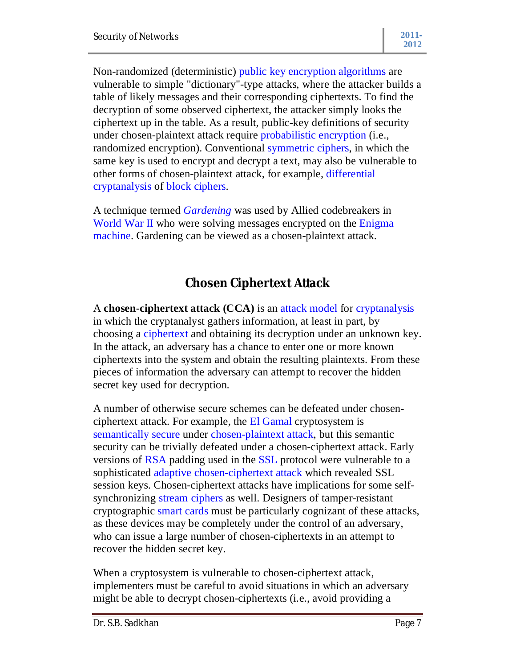Non-randomized (deterministic) public key encryption algorithms are vulnerable to simple "dictionary"-type attacks, where the attacker builds a table of likely messages and their corresponding ciphertexts. To find the decryption of some observed ciphertext, the attacker simply looks the ciphertext up in the table. As a result, public-key definitions of security under chosen-plaintext attack require probabilistic encryption (i.e., randomized encryption). Conventional symmetric ciphers, in which the same key is used to encrypt and decrypt a text, may also be vulnerable to other forms of chosen-plaintext attack, for example, differential cryptanalysis of block ciphers.

A technique termed *Gardening* was used by Allied codebreakers in World War II who were solving messages encrypted on the Enigma machine. Gardening can be viewed as a chosen-plaintext attack.

## **Chosen Ciphertext Attack**

A **chosen-ciphertext attack (CCA)** is an attack model for cryptanalysis in which the cryptanalyst gathers information, at least in part, by choosing a ciphertext and obtaining its decryption under an unknown key. In the attack, an adversary has a chance to enter one or more known ciphertexts into the system and obtain the resulting plaintexts. From these pieces of information the adversary can attempt to recover the hidden secret key used for decryption.

A number of otherwise secure schemes can be defeated under chosenciphertext attack. For example, the El Gamal cryptosystem is semantically secure under chosen-plaintext attack, but this semantic security can be trivially defeated under a chosen-ciphertext attack. Early versions of RSA padding used in the SSL protocol were vulnerable to a sophisticated adaptive chosen-ciphertext attack which revealed SSL session keys. Chosen-ciphertext attacks have implications for some selfsynchronizing stream ciphers as well. Designers of tamper-resistant cryptographic smart cards must be particularly cognizant of these attacks, as these devices may be completely under the control of an adversary, who can issue a large number of chosen-ciphertexts in an attempt to recover the hidden secret key.

When a cryptosystem is vulnerable to chosen-ciphertext attack, implementers must be careful to avoid situations in which an adversary might be able to decrypt chosen-ciphertexts (i.e., avoid providing a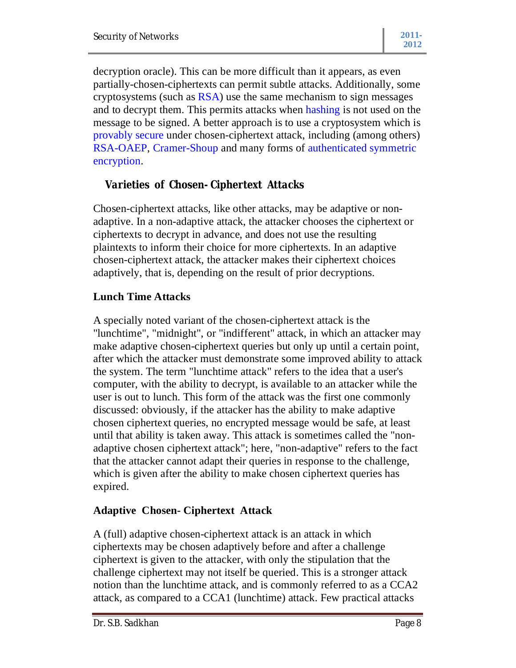decryption oracle). This can be more difficult than it appears, as even partially-chosen-ciphertexts can permit subtle attacks. Additionally, some cryptosystems (such as RSA) use the same mechanism to sign messages and to decrypt them. This permits attacks when hashing is not used on the message to be signed. A better approach is to use a cryptosystem which is provably secure under chosen-ciphertext attack, including (among others) RSA-OAEP, Cramer-Shoup and many forms of authenticated symmetric encryption.

### *Varieties of Chosen- Ciphertext Attacks*

Chosen-ciphertext attacks, like other attacks, may be adaptive or nonadaptive. In a non-adaptive attack, the attacker chooses the ciphertext or ciphertexts to decrypt in advance, and does not use the resulting plaintexts to inform their choice for more ciphertexts. In an adaptive chosen-ciphertext attack, the attacker makes their ciphertext choices adaptively, that is, depending on the result of prior decryptions.

#### **Lunch Time Attacks**

A specially noted variant of the chosen-ciphertext attack is the "lunchtime", "midnight", or "indifferent" attack, in which an attacker may make adaptive chosen-ciphertext queries but only up until a certain point, after which the attacker must demonstrate some improved ability to attack the system. The term "lunchtime attack" refers to the idea that a user's computer, with the ability to decrypt, is available to an attacker while the user is out to lunch. This form of the attack was the first one commonly discussed: obviously, if the attacker has the ability to make adaptive chosen ciphertext queries, no encrypted message would be safe, at least until that ability is taken away. This attack is sometimes called the "nonadaptive chosen ciphertext attack"; here, "non-adaptive" refers to the fact that the attacker cannot adapt their queries in response to the challenge, which is given after the ability to make chosen ciphertext queries has expired.

#### **Adaptive Chosen- Ciphertext Attack**

A (full) adaptive chosen-ciphertext attack is an attack in which ciphertexts may be chosen adaptively before and after a challenge ciphertext is given to the attacker, with only the stipulation that the challenge ciphertext may not itself be queried. This is a stronger attack notion than the lunchtime attack, and is commonly referred to as a CCA2 attack, as compared to a CCA1 (lunchtime) attack. Few practical attacks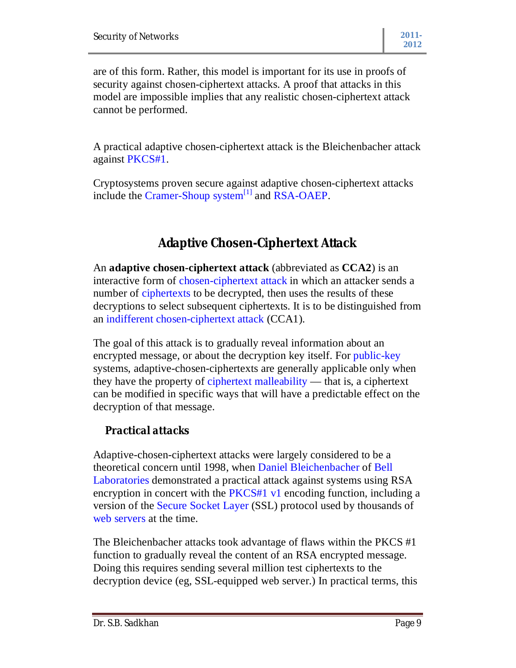are of this form. Rather, this model is important for its use in proofs of security against chosen-ciphertext attacks. A proof that attacks in this model are impossible implies that any realistic chosen-ciphertext attack cannot be performed.

A practical adaptive chosen-ciphertext attack is the Bleichenbacher attack against PKCS#1.

Cryptosystems proven secure against adaptive chosen-ciphertext attacks include the Cramer-Shoup system<sup>[1]</sup> and RSA-OAEP.

# **Adaptive Chosen-Ciphertext Attack**

An **adaptive chosen-ciphertext attack** (abbreviated as **CCA2**) is an interactive form of chosen-ciphertext attack in which an attacker sends a number of ciphertexts to be decrypted, then uses the results of these decryptions to select subsequent ciphertexts. It is to be distinguished from an indifferent chosen-ciphertext attack (CCA1).

The goal of this attack is to gradually reveal information about an encrypted message, or about the decryption key itself. For public-key systems, adaptive-chosen-ciphertexts are generally applicable only when they have the property of ciphertext malleability — that is, a ciphertext can be modified in specific ways that will have a predictable effect on the decryption of that message.

### *Practical attacks*

Adaptive-chosen-ciphertext attacks were largely considered to be a theoretical concern until 1998, when Daniel Bleichenbacher of Bell Laboratories demonstrated a practical attack against systems using RSA encryption in concert with the  $PKCS#1$  v1 encoding function, including a version of the Secure Socket Layer (SSL) protocol used by thousands of web servers at the time.

The Bleichenbacher attacks took advantage of flaws within the PKCS #1 function to gradually reveal the content of an RSA encrypted message. Doing this requires sending several million test ciphertexts to the decryption device (eg, SSL-equipped web server.) In practical terms, this